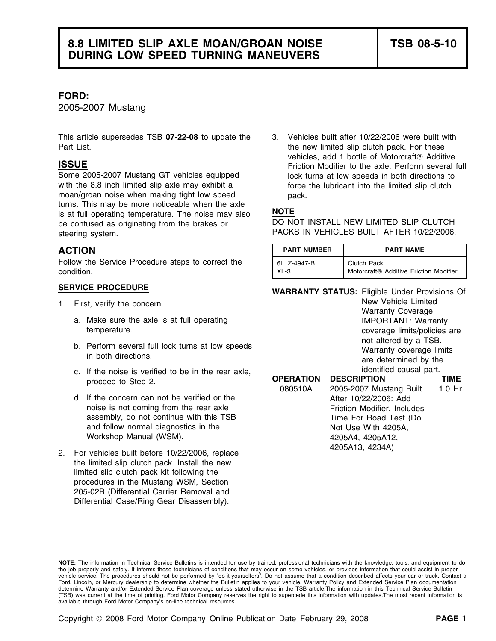### **FORD:**

2005-2007 Mustang

This article supersedes TSB **07-22-08** to update the 3. Vehicles built after 10/22/2006 were built with Part List. The new limited slip clutch pack. For these extracts the new limited slip clutch pack. For these

Some 2005-2007 Mustang GT vehicles equipped<br>with the 8.8 inch limited slip axle may exhibit a<br>force the lubricant into the limited slip clutch moan/groan noise when making tight low speed pack. turns. This may be more noticeable when the axle is at full operating temperature. The noise may also **NOTE**<br>he confused as originating from the brakes or **DO NOT INSTALL NEW LIMITED SLIP CLUTCH** be confused as originating from the brakes or steering system. The steering system. The steering system.

## **ACTION**

- - a. Make sure the axle is at full operating **IMPORTANT:** Warranty temperature. The coverage limits/policies are temperature.
	- b. Perform several full lock turns at low speeds and the mot altered by a TSB.<br>
	in both directions.<br>
	in both directions.<br>
	in both directions.<br>
	in both directions.
	- identified causal part. c. If the noise is verified to be in the rear axle,  $proceed to Step 2.$
	- d. If the concern can not be verified or the noise is not coming from the rear axle assembly, do not continue with this TSB and follow normal diagnostics in the Workshop Manual (WSM).
- 2. For vehicles built before 10/22/2006, replace the limited slip clutch pack. Install the new limited slip clutch pack kit following the procedures in the Mustang WSM, Section 205-02B (Differential Carrier Removal and Differential Case/Ring Gear Disassembly).

vehicles, add 1 bottle of Motorcraft<sup>®</sup> Additive **ISSUE ISSUE FRICAL CONSUMING THE EXAMPLE THE SEXUEL SERVICE SERVICE SERVICE SERVICE SERVICE SERVICE SERVICE SERVICE SERVICE SERVICE SERVICE SERVICE SERVICE SERVICE SERVICE SERVICE SERVICE SERVICE SERVICE SERVICE SERVI** force the lubricant into the limited slip clutch

| ACTION                                            | <b>PART NUMBER</b> | <b>PART NAME</b>                       |
|---------------------------------------------------|--------------------|----------------------------------------|
| Follow the Service Procedure steps to correct the | 6L1Z-4947-B        | Clutch Pack                            |
| condition.                                        | $XL-3$             | Motorcraft® Additive Friction Modifier |

**SERVICE PROCEDURE WARRANTY STATUS:** Eligible Under Provisions Of

1. First, verify the concern. The concerners of the state of the United Warranty Coverage Services of the United Warranty Coverage

| <b>OPERATION</b> | <b>DESCRIPTION</b>          | TIME      |
|------------------|-----------------------------|-----------|
| 080510A          | 2005-2007 Mustang Built     | $1.0$ Hr. |
|                  | After 10/22/2006: Add       |           |
|                  | Friction Modifier, Includes |           |
|                  | Time For Road Test (Do      |           |
|                  | Not Use With 4205A,         |           |
|                  | 4205A4, 4205A12,            |           |
|                  | 4205A13, 4234A)             |           |

**NOTE:** The information in Technical Service Bulletins is intended for use by trained, professional technicians with the knowledge, tools, and equipment to do the job properly and safely. It informs these technicians of conditions that may occur on some vehicles, or provides information that could assist in proper<br>vehicle service. The procedures should not be performed by "do-it Ford, Lincoln, or Mercury dealership to determine whether the Bulletin applies to your vehicle. Warranty Policy and Extended Service Plan documentation determine Warranty and/or Extended Service Plan coverage unless stated otherwise in the TSB article.The information in this Technical Service Bulletin (TSB) was current at the time of printing. Ford Motor Company reserves the right to supercede this information with updates.The most recent information is available through Ford Motor Company's on-line technical resources.